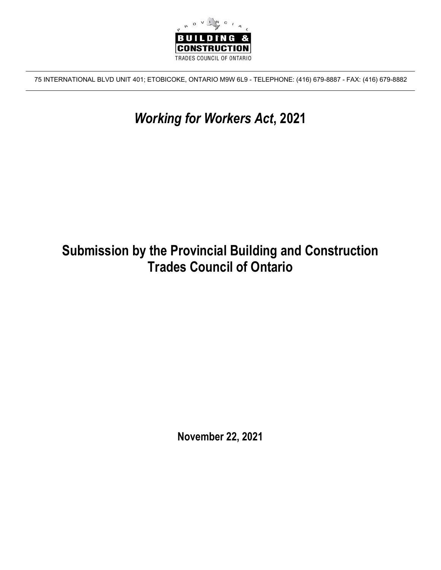

75 INTERNATIONAL BLVD UNIT 401; ETOBICOKE, ONTARIO M9W 6L9 - TELEPHONE: (416) 679-8887 - FAX: (416) 679-8882

# *Working for Workers Act***, 2021**

# **Submission by the Provincial Building and Construction Trades Council of Ontario**

**November 22, 2021**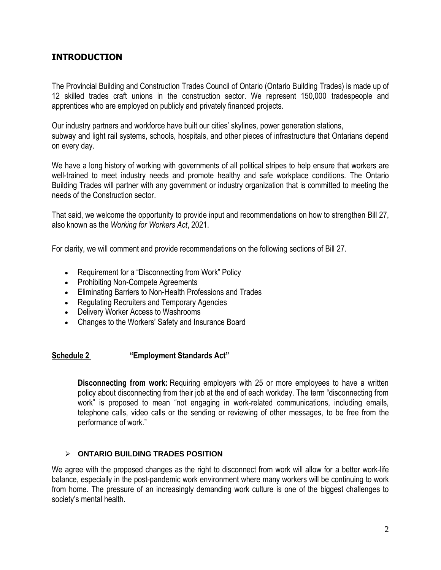# **INTRODUCTION**

The Provincial Building and Construction Trades Council of Ontario (Ontario Building Trades) is made up of 12 skilled trades craft unions in the construction sector. We represent 150,000 tradespeople and apprentices who are employed on publicly and privately financed projects.

Our industry partners and workforce have built our cities' skylines, power generation stations, subway and light rail systems, schools, hospitals, and other pieces of infrastructure that Ontarians depend on every day.

We have a long history of working with governments of all political stripes to help ensure that workers are well-trained to meet industry needs and promote healthy and safe workplace conditions. The Ontario Building Trades will partner with any government or industry organization that is committed to meeting the needs of the Construction sector.

That said, we welcome the opportunity to provide input and recommendations on how to strengthen Bill 27, also known as the *Working for Workers Act*, 2021.

For clarity, we will comment and provide recommendations on the following sections of Bill 27.

- Requirement for a "Disconnecting from Work" Policy
- Prohibiting Non-Compete Agreements
- Eliminating Barriers to Non-Health Professions and Trades
- Regulating Recruiters and Temporary Agencies
- Delivery Worker Access to Washrooms
- Changes to the Workers' Safety and Insurance Board

# **Schedule 2 "Employment Standards Act"**

**Disconnecting from work:** Requiring employers with 25 or more employees to have a written policy about disconnecting from their job at the end of each workday. The term "disconnecting from work" is proposed to mean "not engaging in work-related communications, including emails, telephone calls, video calls or the sending or reviewing of other messages, to be free from the performance of work."

## **ONTARIO BUILDING TRADES POSITION**

We agree with the proposed changes as the right to disconnect from work will allow for a better work-life balance, especially in the post-pandemic work environment where many workers will be continuing to work from home. The pressure of an increasingly demanding work culture is one of the biggest challenges to society's mental health.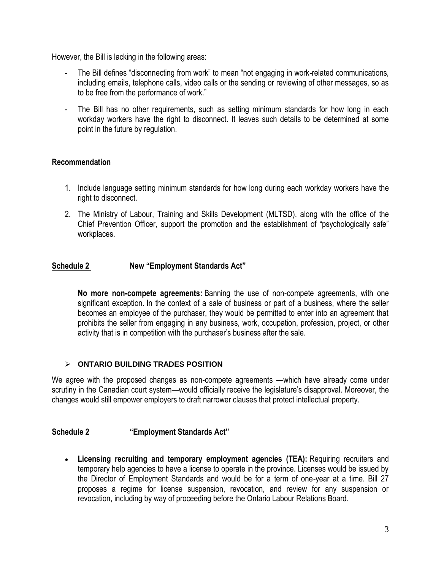However, the Bill is lacking in the following areas:

- The Bill defines "disconnecting from work" to mean "not engaging in work-related communications, including emails, telephone calls, video calls or the sending or reviewing of other messages, so as to be free from the performance of work."
- The Bill has no other requirements, such as setting minimum standards for how long in each workday workers have the right to disconnect. It leaves such details to be determined at some point in the future by regulation.

# **Recommendation**

- 1. Include language setting minimum standards for how long during each workday workers have the right to disconnect.
- 2. The Ministry of Labour, Training and Skills Development (MLTSD), along with the office of the Chief Prevention Officer, support the promotion and the establishment of "psychologically safe" workplaces.

# **Schedule 2 New "Employment Standards Act"**

**No more non-compete agreements:** Banning the use of non-compete agreements, with one significant exception. In the context of a sale of business or part of a business, where the seller becomes an employee of the purchaser, they would be permitted to enter into an agreement that prohibits the seller from engaging in any business, work, occupation, profession, project, or other activity that is in competition with the purchaser's business after the sale.

# **ONTARIO BUILDING TRADES POSITION**

We agree with the proposed changes as non-compete agreements —which have already come under scrutiny in the Canadian court system—would officially receive the legislature's disapproval. Moreover, the changes would still empower employers to draft narrower clauses that protect intellectual property.

# **Schedule 2 "Employment Standards Act"**

 **Licensing recruiting and temporary employment agencies (TEA):** Requiring recruiters and temporary help agencies to have a license to operate in the province. Licenses would be issued by the Director of Employment Standards and would be for a term of one-year at a time. Bill 27 proposes a regime for license suspension, revocation, and review for any suspension or revocation, including by way of proceeding before the Ontario Labour Relations Board.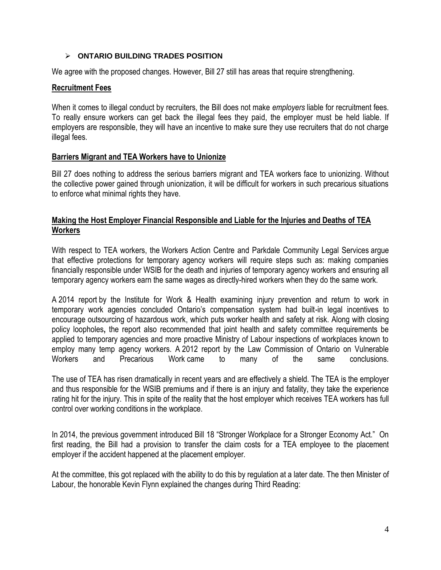## **ONTARIO BUILDING TRADES POSITION**

We agree with the proposed changes. However, Bill 27 still has areas that require strengthening.

## **Recruitment Fees**

When it comes to illegal conduct by recruiters, the Bill does not make *employers* liable for recruitment fees. To really ensure workers can get back the illegal fees they paid, the employer must be held liable. If employers are responsible, they will have an incentive to make sure they use recruiters that do not charge illegal fees.

## **Barriers Migrant and TEA Workers have to Unionize**

Bill 27 does nothing to address the serious barriers migrant and TEA workers face to unionizing. Without the collective power gained through unionization, it will be difficult for workers in such precarious situations to enforce what minimal rights they have.

## **Making the Host Employer Financial Responsible and Liable for the Injuries and Deaths of TEA Workers**

With respect to TEA workers, the Workers Action Centre and Parkdale [Community](https://workersactioncentre.org/wp-content/uploads/2021/07/WAC-PCLS-submission-OWRAC.pdf) Legal Services argue that effective protections for temporary agency workers will require steps such as: making companies financially responsible under WSIB for the death and injuries of temporary agency workers and ensuring all temporary agency workers earn the same wages as directly-hired workers when they do the same work.

A [2014 report](https://www.iwh.on.ca/scientific-reports/understanding-management-of-injury-prevention-and-return-to-work-in-temporary) by the Institute for Work & Health examining injury prevention and return to work in temporary work agencies concluded Ontario's compensation system had built-in legal incentives to encourage outsourcing of hazardous work, which puts worker health and safety at risk. Along with closing policy loopholes**,** the report also recommended that joint health and safety committee requirements be applied to temporary agencies and more proactive Ministry of Labour inspections of workplaces known to employ many temp agency workers. A [2012 report by the Law Commission of Ontario on Vulnerable](https://www.lco-cdo.org/en/our-current-projects/vulnerable-workers-and-precarious-work/)  [Workers and Precarious Work](https://www.lco-cdo.org/en/our-current-projects/vulnerable-workers-and-precarious-work/) came to many of the same conclusions.

The use of TEA has risen dramatically in recent years and are effectively a shield. The TEA is the employer and thus responsible for the WSIB premiums and if there is an injury and fatality, they take the experience rating hit for the injury. This in spite of the reality that the host employer which receives TEA workers has full control over working conditions in the workplace.

In 2014, the previous government introduced Bill 18 "Stronger Workplace for a Stronger Economy Act." On first reading, the Bill had a provision to transfer the claim costs for a TEA employee to the placement employer if the accident happened at the placement employer.

At the committee, this got replaced with the ability to do this by regulation at a later date. The then Minister of Labour, the honorable Kevin Flynn explained the changes during Third Reading: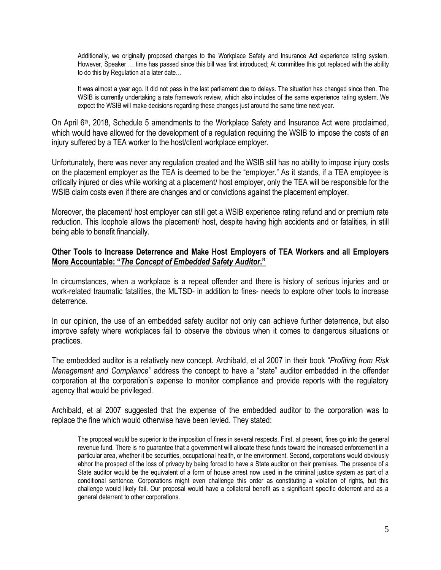Additionally, we originally proposed changes to the Workplace Safety and Insurance Act experience rating system. However, Speaker … time has passed since this bill was first introduced; At committee this got replaced with the ability to do this by Regulation at a later date…

It was almost a year ago. It did not pass in the last parliament due to delays. The situation has changed since then. The WSIB is currently undertaking a rate framework review, which also includes of the same experience rating system. We expect the WSIB will make decisions regarding these changes just around the same time next year.

On April 6<sup>th</sup>, 2018, Schedule 5 amendments to the Workplace Safety and Insurance Act were proclaimed, which would have allowed for the development of a regulation requiring the WSIB to impose the costs of an injury suffered by a TEA worker to the host/client workplace employer.

Unfortunately, there was never any regulation created and the WSIB still has no ability to impose injury costs on the placement employer as the TEA is deemed to be the "employer." As it stands, if a TEA employee is critically injured or dies while working at a placement/ host employer, only the TEA will be responsible for the WSIB claim costs even if there are changes and or convictions against the placement employer.

Moreover, the placement/ host employer can still get a WSIB experience rating refund and or premium rate reduction. This loophole allows the placement/ host, despite having high accidents and or fatalities, in still being able to benefit financially.

## **Other Tools to Increase Deterrence and Make Host Employers of TEA Workers and all Employers More Accountable: "***The Concept of Embedded Safety Auditor***."**

In circumstances, when a workplace is a repeat offender and there is history of serious injuries and or work-related traumatic fatalities, the MLTSD- in addition to fines- needs to explore other tools to increase deterrence.

In our opinion, the use of an embedded safety auditor not only can achieve further deterrence, but also improve safety where workplaces fail to observe the obvious when it comes to dangerous situations or practices.

The embedded auditor is a relatively new concept. Archibald, et al 2007 in their book "*Profiting from Risk Management and Compliance"* address the concept to have a "state" auditor embedded in the offender corporation at the corporation's expense to monitor compliance and provide reports with the regulatory agency that would be privileged.

Archibald, et al 2007 suggested that the expense of the embedded auditor to the corporation was to replace the fine which would otherwise have been levied. They stated:

The proposal would be superior to the imposition of fines in several respects. First, at present, fines go into the general revenue fund. There is no guarantee that a government will allocate these funds toward the increased enforcement in a particular area, whether it be securities, occupational health, or the environment. Second, corporations would obviously abhor the prospect of the loss of privacy by being forced to have a State auditor on their premises. The presence of a State auditor would be the equivalent of a form of house arrest now used in the criminal justice system as part of a conditional sentence. Corporations might even challenge this order as constituting a violation of rights, but this challenge would likely fail. Our proposal would have a collateral benefit as a significant specific deterrent and as a general deterrent to other corporations.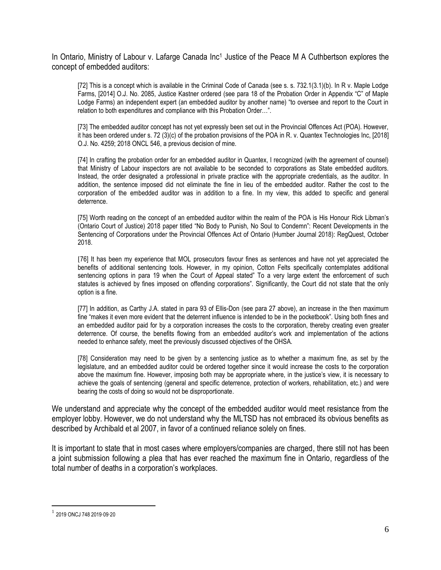In Ontario, Ministry of Labour v. Lafarge Canada Inc<sup>1</sup> Justice of the Peace M A Cuthbertson explores the concept of embedded auditors:

[72] This is a concept which is available in the Criminal Code of Canada (see s. s. 732.1(3.1)(b). In R v. Maple Lodge Farms, [2014] O.J. No. 2085, Justice Kastner ordered (see para 18 of the Probation Order in Appendix "C" of Maple Lodge Farms) an independent expert (an embedded auditor by another name) "to oversee and report to the Court in relation to both expenditures and compliance with this Probation Order…".

[73] The embedded auditor concept has not yet expressly been set out in the Provincial Offences Act (POA). However, it has been ordered under s. 72 (3)(c) of the probation provisions of the POA in R. v. Quantex Technologies Inc, [2018] O.J. No. 4259; 2018 ONCL 546, a previous decision of mine.

[74] In crafting the probation order for an embedded auditor in Quantex, I recognized (with the agreement of counsel) that Ministry of Labour inspectors are not available to be seconded to corporations as State embedded auditors. Instead, the order designated a professional in private practice with the appropriate credentials, as the auditor. In addition, the sentence imposed did not eliminate the fine in lieu of the embedded auditor. Rather the cost to the corporation of the embedded auditor was in addition to a fine. In my view, this added to specific and general deterrence.

[75] Worth reading on the concept of an embedded auditor within the realm of the POA is His Honour Rick Libman's (Ontario Court of Justice) 2018 paper titled "No Body to Punish, No Soul to Condemn": Recent Developments in the Sentencing of Corporations under the Provincial Offences Act of Ontario (Humber Journal 2018): RegQuest, October 2018.

[76] It has been my experience that MOL prosecutors favour fines as sentences and have not yet appreciated the benefits of additional sentencing tools. However, in my opinion, Cotton Felts specifically contemplates additional sentencing options in para 19 when the Court of Appeal stated" To a very large extent the enforcement of such statutes is achieved by fines imposed on offending corporations". Significantly, the Court did not state that the only option is a fine.

[77] In addition, as Carthy J.A. stated in para 93 of Ellis-Don (see para 27 above), an increase in the then maximum fine "makes it even more evident that the deterrent influence is intended to be in the pocketbook". Using both fines and an embedded auditor paid for by a corporation increases the costs to the corporation, thereby creating even greater deterrence. Of course, the benefits flowing from an embedded auditor's work and implementation of the actions needed to enhance safety, meet the previously discussed objectives of the OHSA.

[78] Consideration may need to be given by a sentencing justice as to whether a maximum fine, as set by the legislature, and an embedded auditor could be ordered together since it would increase the costs to the corporation above the maximum fine. However, imposing both may be appropriate where, in the justice's view, it is necessary to achieve the goals of sentencing (general and specific deterrence, protection of workers, rehabilitation, etc.) and were bearing the costs of doing so would not be disproportionate.

We understand and appreciate why the concept of the embedded auditor would meet resistance from the employer lobby. However, we do not understand why the MLTSD has not embraced its obvious benefits as described by Archibald et al 2007, in favor of a continued reliance solely on fines.

It is important to state that in most cases where employers/companies are charged, there still not has been a joint submission following a plea that has ever reached the maximum fine in Ontario, regardless of the total number of deaths in a corporation's workplaces.

 $\overline{a}$ 

<sup>1</sup> 2019 ONCJ 748 2019·09·20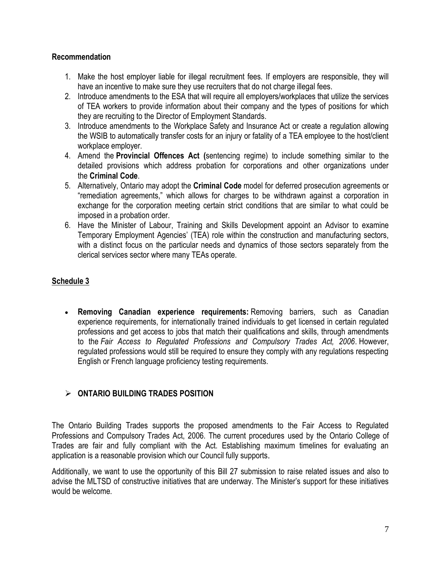# **Recommendation**

- 1. Make the host employer liable for illegal recruitment fees. If employers are responsible, they will have an incentive to make sure they use recruiters that do not charge illegal fees.
- 2. Introduce amendments to the ESA that will require all employers/workplaces that utilize the services of TEA workers to provide information about their company and the types of positions for which they are recruiting to the Director of Employment Standards.
- 3. Introduce amendments to the Workplace Safety and Insurance Act or create a regulation allowing the WSIB to automatically transfer costs for an injury or fatality of a TEA employee to the host/client workplace employer.
- 4. Amend the **Provincial Offences Act (**sentencing regime) to include something similar to the detailed provisions which address probation for corporations and other organizations under the **Criminal Code**.
- 5. Alternatively, Ontario may adopt the **Criminal Code** model for deferred prosecution agreements or "remediation agreements," which allows for charges to be withdrawn against a corporation in exchange for the corporation meeting certain strict conditions that are similar to what could be imposed in a probation order.
- 6. Have the Minister of Labour, Training and Skills Development appoint an Advisor to examine Temporary Employment Agencies' (TEA) role within the construction and manufacturing sectors, with a distinct focus on the particular needs and dynamics of those sectors separately from the clerical services sector where many TEAs operate.

# **Schedule 3**

 **Removing Canadian experience requirements:** Removing barriers, such as Canadian experience requirements, for internationally trained individuals to get licensed in certain regulated professions and get access to jobs that match their qualifications and skills, through amendments to the *Fair Access to Regulated Professions and Compulsory Trades Act, 2006*. However, regulated professions would still be required to ensure they comply with any regulations respecting English or French language proficiency testing requirements.

# **ONTARIO BUILDING TRADES POSITION**

The Ontario Building Trades supports the proposed amendments to the Fair Access to Regulated Professions and Compulsory Trades Act, 2006. The current procedures used by the Ontario College of Trades are fair and fully compliant with the Act. Establishing maximum timelines for evaluating an application is a reasonable provision which our Council fully supports.

Additionally, we want to use the opportunity of this Bill 27 submission to raise related issues and also to advise the MLTSD of constructive initiatives that are underway. The Minister's support for these initiatives would be welcome.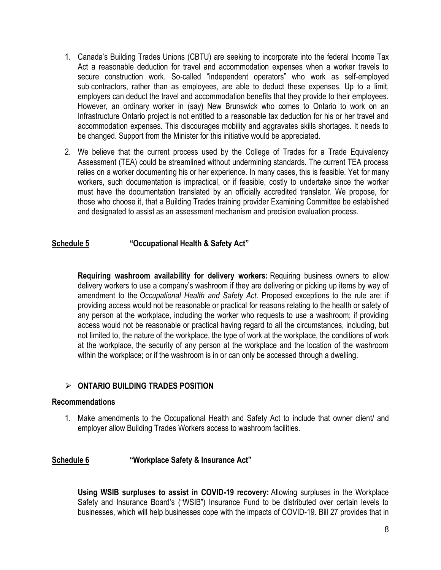- 1. Canada's Building Trades Unions (CBTU) are seeking to incorporate into the federal Income Tax Act a reasonable deduction for travel and accommodation expenses when a worker travels to secure construction work. So-called "independent operators" who work as self-employed sub contractors, rather than as employees, are able to deduct these expenses. Up to a limit, employers can deduct the travel and accommodation benefits that they provide to their employees. However, an ordinary worker in (say) New Brunswick who comes to Ontario to work on an Infrastructure Ontario project is not entitled to a reasonable tax deduction for his or her travel and accommodation expenses. This discourages mobility and aggravates skills shortages. It needs to be changed. Support from the Minister for this initiative would be appreciated.
- 2. We believe that the current process used by the College of Trades for a Trade Equivalency Assessment (TEA) could be streamlined without undermining standards. The current TEA process relies on a worker documenting his or her experience. In many cases, this is feasible. Yet for many workers, such documentation is impractical, or if feasible, costly to undertake since the worker must have the documentation translated by an officially accredited translator. We propose, for those who choose it, that a Building Trades training provider Examining Committee be established and designated to assist as an assessment mechanism and precision evaluation process.

## **Schedule 5 "Occupational Health & Safety Act"**

**Requiring washroom availability for delivery workers:** Requiring business owners to allow delivery workers to use a company's washroom if they are delivering or picking up items by way of amendment to the *Occupational Health and Safety Act*. Proposed exceptions to the rule are: if providing access would not be reasonable or practical for reasons relating to the health or safety of any person at the workplace, including the worker who requests to use a washroom; if providing access would not be reasonable or practical having regard to all the circumstances, including, but not limited to, the nature of the workplace, the type of work at the workplace, the conditions of work at the workplace, the security of any person at the workplace and the location of the washroom within the workplace; or if the washroom is in or can only be accessed through a dwelling.

## **ONTARIO BUILDING TRADES POSITION**

#### **Recommendations**

1. Make amendments to the Occupational Health and Safety Act to include that owner client/ and employer allow Building Trades Workers access to washroom facilities.

## **Schedule 6 "Workplace Safety & Insurance Act"**

**Using WSIB surpluses to assist in COVID-19 recovery:** Allowing surpluses in the Workplace Safety and Insurance Board's ("WSIB") Insurance Fund to be distributed over certain levels to businesses, which will help businesses cope with the impacts of COVID-19. Bill 27 provides that in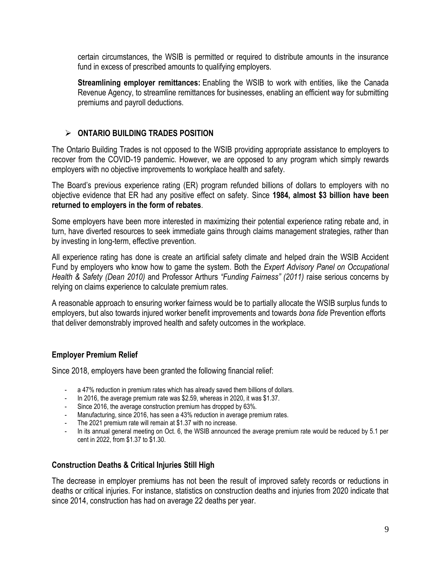certain circumstances, the WSIB is permitted or required to distribute amounts in the insurance fund in excess of prescribed amounts to qualifying employers.

**Streamlining employer remittances:** Enabling the WSIB to work with entities, like the Canada Revenue Agency, to streamline remittances for businesses, enabling an efficient way for submitting premiums and payroll deductions.

# **ONTARIO BUILDING TRADES POSITION**

The Ontario Building Trades is not opposed to the WSIB providing appropriate assistance to employers to recover from the COVID-19 pandemic. However, we are opposed to any program which simply rewards employers with no objective improvements to workplace health and safety.

The Board's previous experience rating (ER) program refunded billions of dollars to employers with no objective evidence that ER had any positive effect on safety. Since **1984, almost \$3 billion have been returned to employers in the form of rebates**.

Some employers have been more interested in maximizing their potential experience rating rebate and, in turn, have diverted resources to seek immediate gains through claims management strategies, rather than by investing in long-term, effective prevention.

All experience rating has done is create an artificial safety climate and helped drain the WSIB Accident Fund by employers who know how to game the system. Both the *Expert Advisory Panel on Occupational Health & Safety (Dean 2010)* and Professor Arthurs *"Funding Fairness" (2011)* raise serious concerns by relying on claims experience to calculate premium rates.

A reasonable approach to ensuring worker fairness would be to partially allocate the WSIB surplus funds to employers, but also towards injured worker benefit improvements and towards *bona fide* Prevention efforts that deliver demonstrably improved health and safety outcomes in the workplace.

# **Employer Premium Relief**

Since 2018, employers have been granted the following financial relief:

- a 47% reduction in premium rates which has already saved them billions of dollars.
- In 2016, the average premium rate was \$2.59, whereas in 2020, it was \$1.37.
- Since 2016, the average construction premium has dropped by 63%.
- Manufacturing, since 2016, has seen a 43% reduction in average premium rates.
- The 2021 premium rate will remain at \$1.37 with no increase.
- In its annual general meeting on Oct. 6, the WSIB announced the average premium rate would be reduced by 5.1 per cent in 2022, from \$1.37 to \$1.30.

# **Construction Deaths & Critical Injuries Still High**

The decrease in employer premiums has not been the result of improved safety records or reductions in deaths or critical injuries. For instance, statistics on construction deaths and injuries from 2020 indicate that since 2014, construction has had on average 22 deaths per year.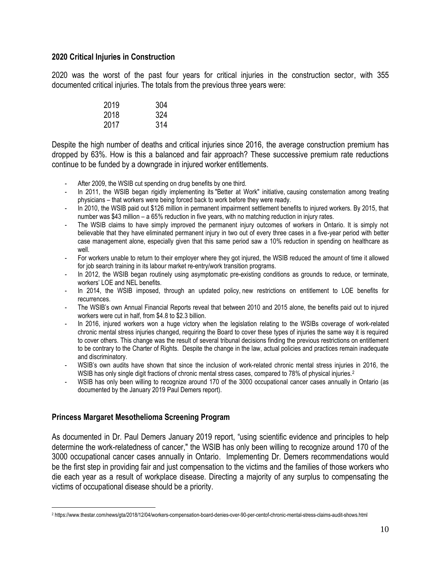## **2020 Critical Injuries in Construction**

2020 was the worst of the past four years for critical injuries in the construction sector, with 355 documented critical injuries. The totals from the previous three years were:

| 2019 | 304 |
|------|-----|
| 2018 | 324 |
| 2017 | 314 |

Despite the high number of deaths and critical injuries since 2016, the average construction premium has dropped by 63%. How is this a balanced and fair approach? These successive premium rate reductions continue to be funded by a downgrade in injured worker entitlements.

- After 2009, the WSIB cut spending on drug benefits by one third.
- In 2011, the WSIB began rigidly implementing its "Better at Work" initiative, causing consternation among treating physicians – that workers were being forced back to work before they were ready.
- In 2010, the WSIB paid out \$126 million in permanent impairment settlement benefits to injured workers. By 2015, that number was \$43 million – a 65% reduction in five years, with no matching reduction in injury rates.
- The WSIB claims to have simply improved the permanent injury outcomes of workers in Ontario. It is simply not believable that they have eliminated permanent injury in two out of every three cases in a five-year period with better case management alone, especially given that this same period saw a 10% reduction in spending on healthcare as well.
- For workers unable to return to their employer where they got injured, the WSIB reduced the amount of time it allowed for job search training in its labour market re-entry/work transition programs.
- In 2012, the WSIB began routinely using asymptomatic pre-existing conditions as grounds to reduce, or terminate, workers' LOE and NEL benefits.
- In 2014, the WSIB imposed, through an updated policy, new restrictions on entitlement to LOE benefits for recurrences.
- The WSIB's own Annual Financial Reports reveal that between 2010 and 2015 alone, the benefits paid out to injured workers were cut in half, from \$4.8 to \$2.3 billion.
- In 2016, injured workers won a huge victory when the legislation relating to the WSIBs coverage of work-related chronic mental stress injuries changed, requiring the Board to cover these types of injuries the same way it is required to cover others. This change was the result of several tribunal decisions finding the previous restrictions on entitlement to be contrary to the Charter of Rights. Despite the change in the law, actual policies and practices remain inadequate and discriminatory.
- WSIB's own audits have shown that since the inclusion of work-related chronic mental stress injuries in 2016, the WSIB has only single digit fractions of chronic mental stress cases, compared to 78% of physical injuries.<sup>2</sup>
- WSIB has only been willing to recognize around 170 of the 3000 occupational cancer cases annually in Ontario (as documented by the January 2019 Paul Demers report).

## **Princess Margaret Mesothelioma Screening Program**

 $\overline{a}$ 

As documented in Dr. Paul Demers January 2019 report, "using scientific evidence and principles to help determine the work-relatedness of cancer," the WSIB has only been willing to recognize around 170 of the 3000 occupational cancer cases annually in Ontario. Implementing Dr. Demers recommendations would be the first step in providing fair and just compensation to the victims and the families of those workers who die each year as a result of workplace disease. Directing a majority of any surplus to compensating the victims of occupational disease should be a priority.

<sup>2</sup> https://www.thestar.com/news/gta/2018/12/04/workers-compensation-board-denies-over-90-per-centof-chronic-mental-stress-claims-audit-shows.html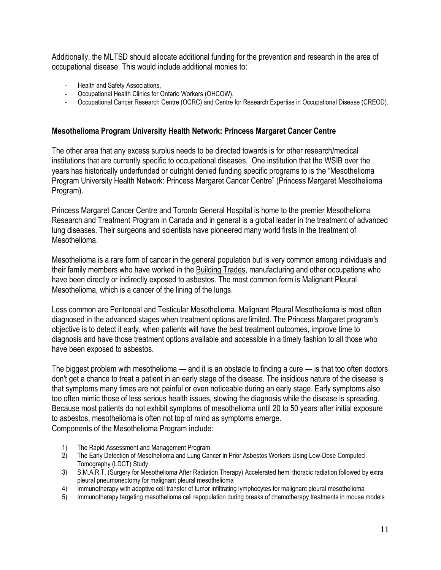Additionally, the MLTSD should allocate additional funding for the prevention and research in the area of occupational disease. This would include additional monies to:

- Health and Safety Associations,
- Occupational Health Clinics for Ontario Workers (OHCOW),
- Occupational Cancer Research Centre (OCRC) and Centre for Research Expertise in Occupational Disease (CREOD).

## **Mesothelioma Program University Health Network: Princess Margaret Cancer Centre**

The other area that any excess surplus needs to be directed towards is for other research/medical institutions that are currently specific to occupational diseases. One institution that the WSIB over the years has historically underfunded or outright denied funding specific programs to is the "Mesothelioma" Program University Health Network: Princess Margaret Cancer Centre" (Princess Margaret Mesothelioma Program).

Princess Margaret Cancer Centre and Toronto General Hospital is home to the premier Mesothelioma Research and Treatment Program in Canada and in general is a global leader in the treatment of advanced lung diseases. Their surgeons and scientists have pioneered many world firsts in the treatment of Mesothelioma.

Mesothelioma is a rare form of cancer in the general population but is very common among individuals and their family members who have worked in the Building Trades, manufacturing and other occupations who have been directly or indirectly exposed to asbestos. The most common form is Malignant Pleural Mesothelioma, which is a cancer of the lining of the lungs.

Less common are Peritoneal and Testicular Mesothelioma. Malignant Pleural Mesothelioma is most often diagnosed in the advanced stages when treatment options are limited. The Princess Margaret program's objective is to detect it early, when patients will have the best treatment outcomes, improve time to diagnosis and have those treatment options available and accessible in a timely fashion to all those who have been exposed to asbestos.

The biggest problem with mesothelioma — and it is an obstacle to finding a cure — is that too often doctors don't get a chance to treat a patient in an early stage of the disease. The insidious nature of the disease is that symptoms many times are not painful or even noticeable during an early stage. Early symptoms also too often mimic those of less serious health issues, slowing the diagnosis while the disease is spreading. Because most patients do not exhibit symptoms of mesothelioma until 20 to 50 years after initial exposure to asbestos, mesothelioma is often not top of mind as symptoms emerge. Components of the Mesothelioma Program include:

- 1) The Rapid Assessment and Management Program
- 2) The Early Detection of Mesothelioma and Lung Cancer in Prior Asbestos Workers Using Low-Dose Computed Tomography (LDCT) Study
- 3) S.M.A.R.T. (Surgery for Mesothelioma After Radiation Therapy) Accelerated hemi thoracic radiation followed by extra pleural pneumonectomy for malignant pleural mesothelioma
- 4) Immunotherapy with adoptive cell transfer of tumor infiltrating lymphocytes for malignant pleural mesothelioma
- 5) Immunotherapy targeting mesothelioma cell repopulation during breaks of chemotherapy treatments in mouse models